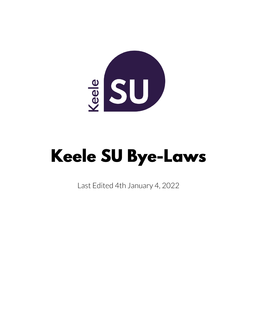

# **Keele SU Bye-Laws**

Last Edited 4th January 4, 2022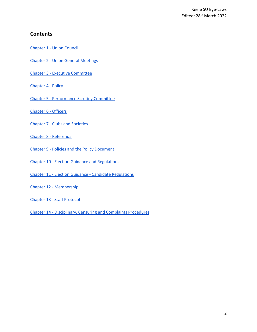#### **Contents**

Chapter 1 - [Union Council](#page-2-0)

- Chapter 2 [Union General Meetings](#page-7-0)
- Chapter 3 [Executive Committee](#page-11-0)
- [Chapter 4 -](#page-12-0) Policy
- Chapter 5 [Performance Scrutiny Committee](#page-16-0)
- [Chapter 6 -](#page-18-0) Officers
- Chapter 7 [Clubs and Societies](#page-35-0)
- [Chapter 8 -](#page-44-0) Referenda
- Chapter 9 [Policies and the Policy Document](#page-47-0)
- Chapter 10 [Election Guidance and Regulations](#page-48-0)
- Chapter 11 Election Guidance [Candidate Regulations](#page-53-0)
- Chapter 12 [Membership](#page-55-0)
- Chapter 13 [Staff Protocol](#page-55-1)
- Chapter 14 [Disciplinary, Censuring and Complaints Procedures](#page-57-0)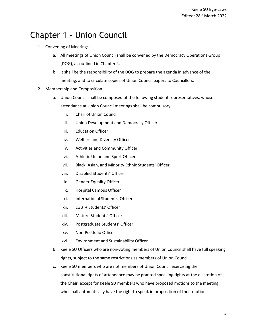# <span id="page-2-0"></span>Chapter 1 - Union Council

- 1. Convening of Meetings
	- a. All meetings of Union Council shall be convened by the Democracy Operations Group (DOG), as outlined in Chapter 4.
	- b. It shall be the responsibility of the DOG to prepare the agenda in advance of the meeting, and to circulate copies of Union Council papers to Councillors.
- 2. Membership and Composition
	- a. Union Council shall be composed of the following student representatives, whose attendance at Union Council meetings shall be compulsory.
		- i. Chair of Union Council
		- ii. Union Development and Democracy Officer
		- iii. Education Officer
		- iv. Welfare and Diversity Officer
		- v. Activities and Community Officer
		- vi. Athletic Union and Sport Officer
		- vii. Black, Asian, and Minority Ethnic Students' Officer
		- viii. Disabled Students' Officer
		- ix. Gender Equality Officer
		- x. Hospital Campus Officer
		- xi. International Students' Officer
		- xii. LGBT+ Students' Officer
		- xiii. Mature Students' Officer
		- xiv. Postgraduate Students' Officer
		- xv. Non-Portfolio Officer
		- xvi. Environment and Sustainability Officer
	- b. Keele SU Officers who are non-voting members of Union Council shall have full speaking rights, subject to the same restrictions as members of Union Council.
	- c. Keele SU members who are not members of Union Council exercising their constitutional rights of attendance may be granted speaking rights at the discretion of the Chair, except for Keele SU members who have proposed motions to the meeting, who shall automatically have the right to speak in proposition of their motions.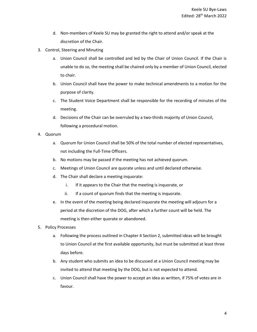- d. Non-members of Keele SU may be granted the right to attend and/or speak at the discretion of the Chair.
- 3. Control, Steering and Minuting
	- a. Union Council shall be controlled and led by the Chair of Union Council. If the Chair is unable to do so, the meeting shall be chaired only by a member of Union Council, elected to chair.
	- b. Union Council shall have the power to make technical amendments to a motion for the purpose of clarity.
	- c. The Student Voice Department shall be responsible for the recording of minutes of the meeting.
	- d. Decisions of the Chair can be overruled by a two-thirds majority of Union Council, following a procedural motion.
- 4. Quorum
	- a. Quorum for Union Council shall be 50% of the total number of elected representatives, not including the Full-Time Officers.
	- b. No motions may be passed if the meeting has not achieved quorum.
	- c. Meetings of Union Council are quorate unless and until declared otherwise.
	- d. The Chair shall declare a meeting inquorate:
		- i. If it appears to the Chair that the meeting is inquorate, or
		- ii. If a count of quorum finds that the meeting is inquorate.
	- e. In the event of the meeting being declared inquorate the meeting will adjourn for a period at the discretion of the DOG, after which a further count will be held. The meeting is then either quorate or abandoned.
- 5. Policy Processes
	- a. Following the process outlined in Chapter 4 Section 2, submitted ideas will be brought to Union Council at the first available opportunity, but must be submitted at least three days before.
	- b. Any student who submits an idea to be discussed at a Union Council meeting may be invited to attend that meeting by the DOG, but is not expected to attend.
	- c. Union Council shall have the power to accept an idea as written, if 75% of votes are in favour.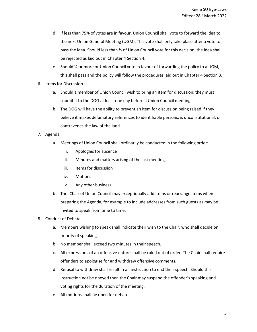- d. If less than 75% of votes are in favour, Union Council shall vote to forward the idea to the next Union General Meeting (UGM). This vote shall only take place after a vote to pass the idea. Should less than ⅓ of Union Council vote for this decision, the idea shall be rejected as laid out in Chapter 4 Section 4.
- e. Should ⅓ or more or Union Council vote in favour of forwarding the policy to a UGM, this shall pass and the policy will follow the procedures laid out in Chapter 4 Section 3.
- 6. Items for Discussion
	- a. Should a member of Union Council wish to bring an item for discussion, they must submit it to the DOG at least one day before a Union Council meeting.
	- b. The DOG will have the ability to prevent an item for discussion being raised if they believe it makes defamatory references to identifiable persons, is unconstitutional, or contravenes the law of the land.
- 7. Agenda
	- a. Meetings of Union Council shall ordinarily be conducted in the following order:
		- i. Apologies for absence
		- ii. Minutes and matters arising of the last meeting
		- iii. Items for discussion
		- iv. Motions
		- v. Any other business
	- b. The Chair of Union Council may exceptionally add items or rearrange items when preparing the Agenda, for example to include addresses from such guests as may be invited to speak from time to time.
- 8. Conduct of Debate
	- a. Members wishing to speak shall indicate their wish to the Chair, who shall decide on priority of speaking.
	- b. No member shall exceed two minutes in their speech.
	- c. All expressions of an offensive nature shall be ruled out of order. The Chair shall require offenders to apologise for and withdraw offensive comments.
	- d. Refusal to withdraw shall result in an instruction to end their speech. Should this instruction not be obeyed then the Chair may suspend the offender's speaking and voting rights for the duration of the meeting.
	- e. All motions shall be open for debate.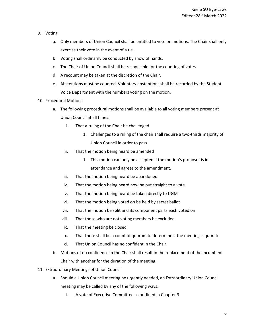- 9. Voting
	- a. Only members of Union Council shall be entitled to vote on motions. The Chair shall only exercise their vote in the event of a tie.
	- b. Voting shall ordinarily be conducted by show of hands.
	- c. The Chair of Union Council shall be responsible for the counting of votes.
	- d. A recount may be taken at the discretion of the Chair.
	- e. Abstentions must be counted. Voluntary abstentions shall be recorded by the Student Voice Department with the numbers voting on the motion.
- 10. Procedural Motions
	- a. The following procedural motions shall be available to all voting members present at Union Council at all times:
		- i. That a ruling of the Chair be challenged
			- 1. Challenges to a ruling of the chair shall require a two-thirds majority of Union Council in order to pass.
		- ii. That the motion being heard be amended
			- 1. This motion can only be accepted if the motion's proposer is in attendance and agrees to the amendment.
		- iii. That the motion being heard be abandoned
		- iv. That the motion being heard now be put straight to a vote
		- v. That the motion being heard be taken directly to UGM
		- vi. That the motion being voted on be held by secret ballot
		- vii. That the motion be split and its component parts each voted on
		- viii. That those who are not voting members be excluded
		- ix. That the meeting be closed
		- x. That there shall be a count of quorum to determine if the meeting is quorate
		- xi. That Union Council has no confident in the Chair
	- b. Motions of no confidence in the Chair shall result in the replacement of the incumbent Chair with another for the duration of the meeting.
- 11. Extraordinary Meetings of Union Council
	- a. Should a Union Council meeting be urgently needed, an Extraordinary Union Council meeting may be called by any of the following ways:
		- i. A vote of Executive Committee as outlined in Chapter 3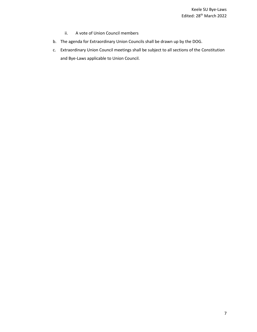- ii. A vote of Union Council members
- b. The agenda for Extraordinary Union Councils shall be drawn up by the DOG.
- c. Extraordinary Union Council meetings shall be subject to all sections of the Constitution and Bye-Laws applicable to Union Council.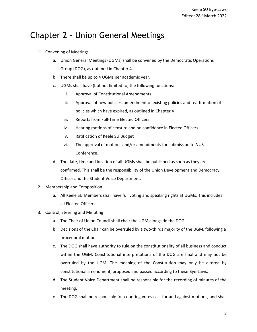# <span id="page-7-0"></span>Chapter 2 - Union General Meetings

- 1. Convening of Meetings
	- a. Union General Meetings (UGMs) shall be convened by the Democratic Operations Group (DOG), as outlined in Chapter 4.
	- b. There shall be up to 4 UGMs per academic year.
	- c. UGMs shall have (but not limited to) the following functions:
		- i. Approval of Constitutional Amendments
		- ii. Approval of new policies, amendment of existing policies and reaffirmation of policies which have expired, as outlined in Chapter 4
		- iii. Reports from Full-Time Elected Officers
		- iv. Hearing motions of censure and no confidence in Elected Officers
		- v. Ratification of Keele SU Budget
		- vi. The approval of motions and/or amendments for submission to NUS Conference.
	- d. The date, time and location of all UGMs shall be published as soon as they are confirmed. This shall be the responsibility of the Union Development and Democracy Officer and the Student Voice Department.
- 2. Membership and Composition
	- a. All Keele SU Members shall have full voting and speaking rights at UGMs. This includes all Elected Officers.
- 3. Control, Steering and Minuting
	- a. The Chair of Union Council shall chair the UGM alongside the DOG.
	- b. Decisions of the Chair can be overruled by a two-thirds majority of the UGM, following a procedural motion.
	- c. The DOG shall have authority to rule on the constitutionality of all business and conduct within the UGM. Constitutional interpretations of the DOG are final and may not be overruled by the UGM. The meaning of the Constitution may only be altered by constitutional amendment, proposed and passed according to these Bye-Laws.
	- d. The Student Voice Department shall be responsible for the recording of minutes of the meeting.
	- e. The DOG shall be responsible for counting votes cast for and against motions, and shall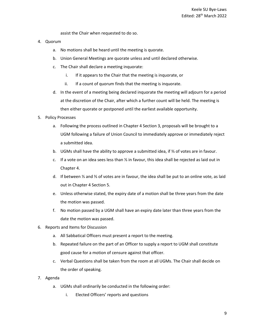assist the Chair when requested to do so.

- 4. Quorum
	- a. No motions shall be heard until the meeting is quorate.
	- b. Union General Meetings are quorate unless and until declared otherwise.
	- c. The Chair shall declare a meeting inquorate:
		- i. If it appears to the Chair that the meeting is inquorate, or
		- ii. If a count of quorum finds that the meeting is inquorate.
	- d. In the event of a meeting being declared inquorate the meeting will adjourn for a period at the discretion of the Chair, after which a further count will be held. The meeting is then either quorate or postponed until the earliest available opportunity.
- 5. Policy Processes
	- a. Following the process outlined in Chapter 4 Section 3, proposals will be brought to a UGM following a failure of Union Council to immediately approve or immediately reject a submitted idea.
	- b. UGMs shall have the ability to approve a submitted idea, if ⅔ of votes are in favour.
	- c. If a vote on an idea sees less than ⅓ in favour, this idea shall be rejected as laid out in Chapter 4.
	- d. If between ⅓ and ⅔ of votes are in favour, the idea shall be put to an online vote, as laid out in Chapter 4 Section 5.
	- e. Unless otherwise stated, the expiry date of a motion shall be three years from the date the motion was passed.
	- f. No motion passed by a UGM shall have an expiry date later than three years from the date the motion was passed.
- 6. Reports and Items for Discussion
	- a. All Sabbatical Officers must present a report to the meeting.
	- b. Repeated failure on the part of an Officer to supply a report to UGM shall constitute good cause for a motion of censure against that officer.
	- c. Verbal Questions shall be taken from the room at all UGMs. The Chair shall decide on the order of speaking.
- 7. Agenda
	- a. UGMs shall ordinarily be conducted in the following order:
		- i. Elected Officers' reports and questions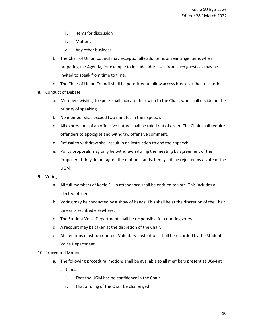- ii. Items for discussion
- iii. Motions
- iv. Any other business
- b. The Chair of Union Council may exceptionally add items or rearrange items when preparing the Agenda, for example to include addresses from such guests as may be invited to speak from time to time.
- c. The Chair of Union Council shall be permitted to allow access breaks at their discretion.
- 8. Conduct of Debate
	- a. Members wishing to speak shall indicate their wish to the Chair, who shall decide on the priority of speaking
	- b. No member shall exceed two minutes in their speech.
	- c. All expressions of an offensive nature shall be ruled out of order. The Chair shall require offenders to apologise and withdraw offensive comment.
	- d. Refusal to withdraw shall result in an instruction to end their speech.
	- e. Policy proposals may only be withdrawn during the meeting by agreement of the Proposer. If they do not agree the motion stands. It may still be rejected by a vote of the UGM.
- 9. Voting
	- a. All full members of Keele SU in attendance shall be entitled to vote. This includes all elected officers.
	- b. Voting may be conducted by a show of hands. This shall be at the discretion of the Chair, unless prescribed elsewhere.
	- c. The Student Voice Department shall be responsible for counting votes.
	- d. A recount may be taken at the discretion of the Chair.
	- e. Abstentions must be counted. Voluntary abstentions shall be recorded by the Student Voice Department.
- 10. Procedural Motions
	- a. The following procedural motions shall be available to all members present at UGM at all times:
		- i. That the UGM has no confidence in the Chair
		- ii. That a ruling of the Chair be challenged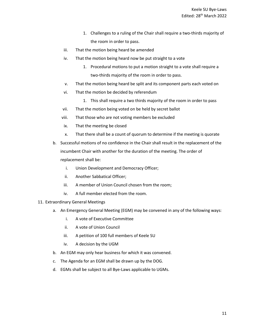- 1. Challenges to a ruling of the Chair shall require a two-thirds majority of the room in order to pass.
- iii. That the motion being heard be amended
- iv. That the motion being heard now be put straight to a vote
	- 1. Procedural motions to put a motion straight to a vote shall require a two-thirds majority of the room in order to pass.
- v. That the motion being heard be split and its component parts each voted on
- vi. That the motion be decided by referendum
	- 1. This shall require a two thirds majority of the room in order to pass
- vii. That the motion being voted on be held by secret ballot
- viii. That those who are not voting members be excluded
- ix. That the meeting be closed
- x. That there shall be a count of quorum to determine if the meeting is quorate
- b. Successful motions of no confidence in the Chair shall result in the replacement of the incumbent Chair with another for the duration of the meeting. The order of replacement shall be:
	- i. Union Development and Democracy Officer;
	- ii. Another Sabbatical Officer;
	- iii. A member of Union Council chosen from the room;
	- iv. A full member elected from the room.
- 11. Extraordinary General Meetings
	- a. An Emergency General Meeting (EGM) may be convened in any of the following ways:
		- i. A vote of Executive Committee
		- ii. A vote of Union Council
		- iii. A petition of 100 full members of Keele SU
		- iv. A decision by the UGM
	- b. An EGM may only hear business for which it was convened.
	- c. The Agenda for an EGM shall be drawn up by the DOG.
	- d. EGMs shall be subject to all Bye-Laws applicable to UGMs.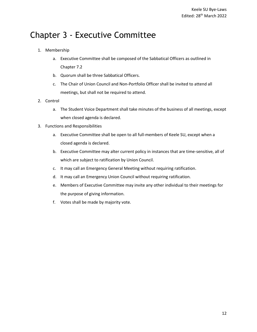# <span id="page-11-0"></span>Chapter 3 - Executive Committee

- 1. Membership
	- a. Executive Committee shall be composed of the Sabbatical Officers as outlined in Chapter 7.2
	- b. Quorum shall be three Sabbatical Officers.
	- c. The Chair of Union Council and Non-Portfolio Officer shall be invited to attend all meetings, but shall not be required to attend.
- 2. Control
	- a. The Student Voice Department shall take minutes of the business of all meetings, except when closed agenda is declared.
- 3. Functions and Responsibilities
	- a. Executive Committee shall be open to all full-members of Keele SU, except when a closed agenda is declared.
	- b. Executive Committee may alter current policy in instances that are time-sensitive, all of which are subject to ratification by Union Council.
	- c. It may call an Emergency General Meeting without requiring ratification.
	- d. It may call an Emergency Union Council without requiring ratification.
	- e. Members of Executive Committee may invite any other individual to their meetings for the purpose of giving information.
	- f. Votes shall be made by majority vote.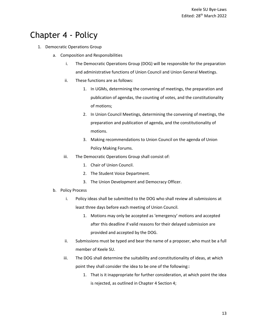# <span id="page-12-0"></span>Chapter 4 - Policy

- 1. Democratic Operations Group
	- a. Composition and Responsibilities
		- i. The Democratic Operations Group (DOG) will be responsible for the preparation and administrative functions of Union Council and Union General Meetings.
		- ii. These functions are as follows:
			- 1. In UGMs, determining the convening of meetings, the preparation and publication of agendas, the counting of votes, and the constitutionality of motions;
			- 2. In Union Council Meetings, determining the convening of meetings, the preparation and publication of agenda, and the constitutionality of motions.
			- 3. Making recommendations to Union Council on the agenda of Union Policy Making Forums.
		- iii. The Democratic Operations Group shall consist of:
			- 1. Chair of Union Council.
			- 2. The Student Voice Department.
			- 3. The Union Development and Democracy Officer.
	- b. Policy Process
		- i. Policy ideas shall be submitted to the DOG who shall review all submissions at least three days before each meeting of Union Council.
			- 1. Motions may only be accepted as 'emergency' motions and accepted after this deadline if valid reasons for their delayed submission are provided and accepted by the DOG.
		- ii. Submissions must be typed and bear the name of a proposer, who must be a full member of Keele SU.
		- iii. The DOG shall determine the suitability and constitutionality of ideas, at which point they shall consider the idea to be one of the following::
			- 1. That is it inappropriate for further consideration, at which point the idea is rejected, as outlined in Chapter 4 Section 4;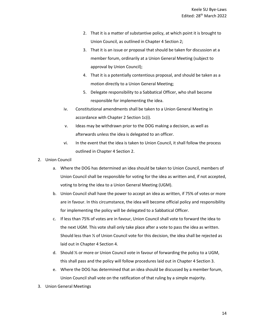- 2. That it is a matter of substantive policy, at which point it is brought to Union Council, as outlined in Chapter 4 Section 2;
- 3. That it is an issue or proposal that should be taken for discussion at a member forum, ordinarily at a Union General Meeting (subject to approval by Union Council);
- 4. That it is a potentially contentious proposal, and should be taken as a motion directly to a Union General Meeting;
- 5. Delegate responsibility to a Sabbatical Officer, who shall become responsible for implementing the idea.
- iv. Constitutional amendments shall be taken to a Union General Meeting in accordance with Chapter 2 Section 1c(i).
- v. Ideas may be withdrawn prior to the DOG making a decision, as well as afterwards unless the idea is delegated to an officer.
- vi. In the event that the idea is taken to Union Council, it shall follow the process outlined in Chapter 4 Section 2.
- 2. Union Council
	- a. Where the DOG has determined an idea should be taken to Union Council, members of Union Council shall be responsible for voting for the idea as written and, if not accepted, voting to bring the idea to a Union General Meeting (UGM).
	- b. Union Council shall have the power to accept an idea as written, if 75% of votes or more are in favour. In this circumstance, the idea will become official policy and responsibility for implementing the policy will be delegated to a Sabbatical Officer.
	- c. If less than 75% of votes are in favour, Union Council shall vote to forward the idea to the next UGM. This vote shall only take place after a vote to pass the idea as written. Should less than ⅓ of Union Council vote for this decision, the idea shall be rejected as laid out in Chapter 4 Section 4.
	- d. Should ⅓ or more or Union Council vote in favour of forwarding the policy to a UGM, this shall pass and the policy will follow procedures laid out in Chapter 4 Section 3.
	- e. Where the DOG has determined that an idea should be discussed by a member forum, Union Council shall vote on the ratification of that ruling by a simple majority.
- 3. Union General Meetings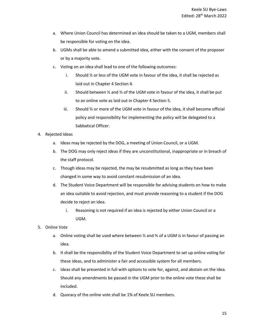- a. Where Union Council has determined an idea should be taken to a UGM, members shall be responsible for voting on the idea.
- b. UGMs shall be able to amend a submitted idea, either with the consent of the proposer or by a majority vote.
- c. Voting on an idea shall lead to one of the following outcomes:
	- i. Should ⅓ or less of the UGM vote in favour of the idea, it shall be rejected as laid out in Chapter 4 Section 4.
	- ii. Should between ⅓ and ⅔ of the UGM vote in favour of the idea, it shall be put to an online vote as laid out in Chapter 4 Section 5.
	- iii. Should ⅔ or more of the UGM vote in favour of the idea, it shall become official policy and responsibility for implementing the policy will be delegated to a Sabbatical Officer.
- 4. Rejected Ideas
	- a. Ideas may be rejected by the DOG, a meeting of Union Council, or a UGM.
	- b. The DOG may only reject ideas if they are unconstitutional, inappropriate or in breach of the staff protocol.
	- c. Though ideas may be rejected, the may be resubmitted as long as they have been changed in some way to avoid constant resubmission of an idea.
	- d. The Student Voice Department will be responsible for advising students on how to make an idea suitable to avoid rejection, and must provide reasoning to a student if the DOG decide to reject an idea.
		- i. Reasoning is not required if an idea is rejected by either Union Council or a UGM.
- 5. Online Vote
	- a. Online voting shall be used where between ⅓ and ⅔ of a UGM is in favour of passing an idea.
	- b. It shall be the responsibility of the Student Voice Department to set up online voting for these ideas, and to administer a fair and accessible system for all members.
	- c. Ideas shall be presented in full with options to vote for, against, and abstain on the idea. Should any amendments be passed in the UGM prior to the online vote these shall be included.
	- d. Quoracy of the online vote shall be 1% of Keele SU members.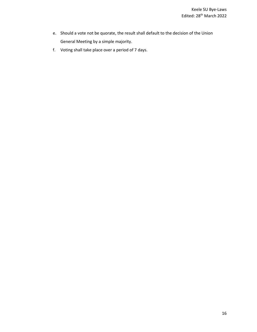- e. Should a vote not be quorate, the result shall default to the decision of the Union General Meeting by a simple majority.
- f. Voting shall take place over a period of 7 days.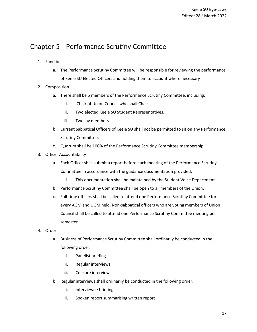## <span id="page-16-0"></span>Chapter 5 - Performance Scrutiny Committee

- 1. Function
	- a. The Performance Scrutiny Committee will be responsible for reviewing the performance of Keele SU Elected Officers and holding them to account where necessary
- 2. Composition
	- a. There shall be 5 members of the Performance Scrutiny Committee, including:
		- i. Chair of Union Council who shall Chair.
		- ii. Two elected Keele SU Student Representatives.
		- iii. Two lay members.
	- b. Current Sabbatical Officers of Keele SU shall not be permitted to sit on any Performance Scrutiny Committee.
	- c. Quorum shall be 100% of the Performance Scrutiny Committee membership.
- 3. Officer Accountability
	- a. Each Officer shall submit a report before each meeting of the Performance Scrutiny Committee in accordance with the guidance documentation provided.
		- i. This documentation shall be maintained by the Student Voice Department.
	- b. Performance Scrutiny Committee shall be open to all members of the Union.
	- c. Full-time officers shall be called to attend one Performance Scrutiny Committee for every AGM and UGM held. Non-sabbatical officers who are voting members of Union Council shall be called to attend one Performance Scrutiny Committee meeting per semester.
- 4. Order
	- a. Business of Performance Scrutiny Committee shall ordinarily be conducted in the following order:
		- i. Panelist briefing
		- ii. Regular interviews
		- iii. Censure interviews
	- b. Regular interviews shall ordinarily be conducted in the following order:
		- i. Interviewee briefing
		- ii. Spoken report summarising written report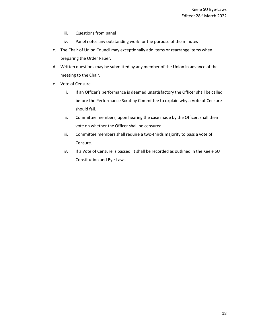- iii. Questions from panel
- iv. Panel notes any outstanding work for the purpose of the minutes
- c. The Chair of Union Council may exceptionally add items or rearrange items when preparing the Order Paper.
- d. Written questions may be submitted by any member of the Union in advance of the meeting to the Chair.
- e. Vote of Censure
	- i. If an Officer's performance is deemed unsatisfactory the Officer shall be called before the Performance Scrutiny Committee to explain why a Vote of Censure should fail.
	- ii. Committee members, upon hearing the case made by the Officer, shall then vote on whether the Officer shall be censured.
	- iii. Committee members shall require a two-thirds majority to pass a vote of Censure.
	- iv. If a Vote of Censure is passed, it shall be recorded as outlined in the Keele SU Constitution and Bye-Laws.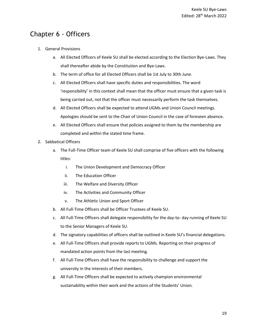## <span id="page-18-0"></span>Chapter 6 - Officers

- 1. General Provisions
	- a. All Elected Officers of Keele SU shall be elected according to the Election Bye-Laws. They shall thereafter abide by the Constitution and Bye-Laws.
	- b. The term of office for all Elected Officers shall be 1st July to 30th June.
	- c. All Elected Officers shall have specific duties and responsibilities. The word 'responsibility' in this context shall mean that the officer must ensure that a given task is being carried out, not that the officer must necessarily perform the task themselves.
	- d. All Elected Officers shall be expected to attend UGMs and Union Council meetings. Apologies should be sent to the Chair of Union Council in the case of foreseen absence.
	- e. All Elected Officers shall ensure that policies assigned to them by the membership are completed and within the stated time frame.
- 2. Sabbatical Officers
	- a. The Full-Time Officer team of Keele SU shall comprise of five officers with the following titles:
		- i. The Union Development and Democracy Officer
		- ii. The Education Officer
		- iii. The Welfare and Diversity Officer
		- iv. The Activities and Community Officer
		- v. The Athletic Union and Sport Officer
	- b. All Full-Time Officers shall be Officer Trustees of Keele SU.
	- c. All Full-Time Officers shall delegate responsibility for the day-to- day running of Keele SU to the Senior Managers of Keele SU.
	- d. The signatory capabilities of officers shall be outlined in Keele SU's financial delegations.
	- e. All Full-Time Officers shall provide reports to UGMs. Reporting on their progress of mandated action points from the last meeting.
	- f. All Full-Time Officers shall have the responsibility to challenge and support the university in the interests of their members.
	- g. All Full-Time Officers shall be expected to actively champion environmental sustainability within their work and the actions of the Students' Union.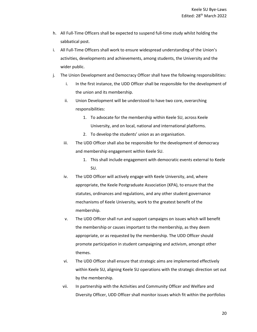- h. All Full-Time Officers shall be expected to suspend full-time study whilst holding the sabbatical post.
- i. All Full-Time Officers shall work to ensure widespread understanding of the Union's activities, developments and achievements, among students, the University and the wider public.
- j. The Union Development and Democracy Officer shall have the following responsibilities:
	- i. In the first instance, the UDD Officer shall be responsible for the development of the union and its membership.
	- ii. Union Development will be understood to have two core, overarching responsibilities:
		- 1. To advocate for the membership within Keele SU, across Keele University, and on local, national and international platforms.
		- 2. To develop the students' union as an organisation.
	- iii. The UDD Officer shall also be responsible for the development of democracy and membership engagement within Keele SU.
		- 1. This shall include engagement with democratic events external to Keele SU.
	- iv. The UDD Officer will actively engage with Keele University, and, where appropriate, the Keele Postgraduate Association (KPA), to ensure that the statutes, ordinances and regulations, and any other student governance mechanisms of Keele University, work to the greatest benefit of the membership.
	- v. The UDD Officer shall run and support campaigns on issues which will benefit the membership or causes important to the membership, as they deem appropriate, or as requested by the membership. The UDD Officer should promote participation in student campaigning and activism, amongst other themes.
	- vi. The UDD Officer shall ensure that strategic aims are implemented effectively within Keele SU, aligning Keele SU operations with the strategic direction set out by the membership.
	- vii. In partnership with the Activities and Community Officer and Welfare and Diversity Officer, UDD Officer shall monitor issues which fit within the portfolios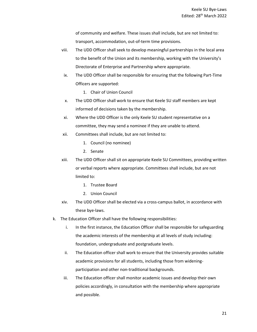of community and welfare. These issues shall include, but are not limited to: transport, accommodation, out-of-term time provisions.

- viii. The UDD Officer shall seek to develop meaningful partnerships in the local area to the benefit of the Union and its membership, working with the University's Directorate of Enterprise and Partnership where appropriate.
- ix. The UDD Officer shall be responsible for ensuring that the following Part-Time Officers are supported:
	- 1. Chair of Union Council
- x. The UDD Officer shall work to ensure that Keele SU staff members are kept informed of decisions taken by the membership.
- xi. Where the UDD Officer is the only Keele SU student representative on a committee, they may send a nominee if they are unable to attend.
- xii. Committees shall include, but are not limited to:
	- 1. Council (no nominee)
	- 2. Senate
- xiii. The UDD Officer shall sit on appropriate Keele SU Committees, providing written or verbal reports where appropriate. Committees shall include, but are not limited to:
	- 1. Trustee Board
	- 2. Union Council
- xiv. The UDD Officer shall be elected via a cross-campus ballot, in accordance with these bye-laws.
- k. The Education Officer shall have the following responsibilities:
	- i. In the first instance, the Education Officer shall be responsible for safeguarding the academic interests of the membership at all levels of study including: foundation, undergraduate and postgraduate levels.
	- ii. The Education officer shall work to ensure that the University provides suitable academic provisions for all students, including those from wideningparticipation and other non-traditional backgrounds.
	- iii. The Education officer shall monitor academic issues and develop their own policies accordingly, in consultation with the membership where appropriate and possible.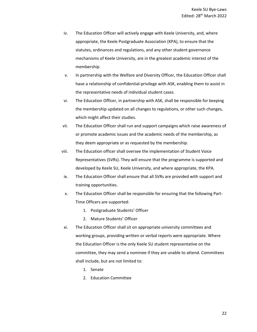- iv. The Education Officer will actively engage with Keele University, and, where appropriate, the Keele Postgraduate Association (KPA), to ensure that the statutes, ordinances and regulations, and any other student governance mechanisms of Keele University, are in the greatest academic interest of the membership.
- v. In partnership with the Welfare and Diversity Officer, the Education Officer shall have a relationship of confidential-privilege with ASK, enabling them to assist in the representative needs of individual student cases.
- vi. The Education Officer, in partnership with ASK, shall be responsible for keeping the membership updated on all changes to regulations, or other such changes, which might affect their studies.
- vii. The Education Officer shall run and support campaigns which raise awareness of or promote academic issues and the academic needs of the membership, as they deem appropriate or as requested by the membership.
- viii. The Education officer shall oversee the implementation of Student Voice Representatives (SVRs). They will ensure that the programme is supported and developed by Keele SU, Keele University, and where appropriate, the KPA.
- ix. The Education Officer shall ensure that all SVRs are provided with support and training opportunities.
- x. The Education Officer shall be responsible for ensuring that the following Part-Time Officers are supported:
	- 1. Postgraduate Students' Officer
	- 2. Mature Students' Officer
- xi. The Education Officer shall sit on appropriate university committees and working groups, providing written or verbal reports were appropriate. Where the Education Officer is the only Keele SU student representative on the committee, they may send a nominee if they are unable to attend. Committees shall include, but are not limited to:
	- 1. Senate
	- 2. Education Committee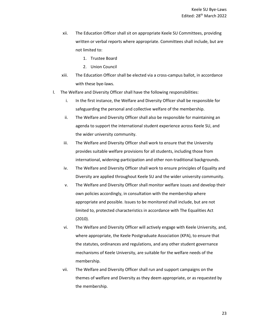- xii. The Education Officer shall sit on appropriate Keele SU Committees, providing written or verbal reports where appropriate. Committees shall include, but are not limited to:
	- 1. Trustee Board
	- 2. Union Council
- xiii. The Education Officer shall be elected via a cross-campus ballot, in accordance with these bye-laws.
- l. The Welfare and Diversity Officer shall have the following responsibilities:
	- i. In the first instance, the Welfare and Diversity Officer shall be responsible for safeguarding the personal and collective welfare of the membership.
	- ii. The Welfare and Diversity Officer shall also be responsible for maintaining an agenda to support the international student experience across Keele SU, and the wider university community.
	- iii. The Welfare and Diversity Officer shall work to ensure that the University provides suitable welfare provisions for all students, including those from international, widening-participation and other non-traditional backgrounds.
	- iv. The Welfare and Diversity Officer shall work to ensure principles of Equality and Diversity are applied throughout Keele SU and the wider university community.
	- v. The Welfare and Diversity Officer shall monitor welfare issues and develop their own policies accordingly, in consultation with the membership where appropriate and possible. Issues to be monitored shall include, but are not limited to, protected characteristics in accordance with The Equalities Act (2010).
	- vi. The Welfare and Diversity Officer will actively engage with Keele University, and, where appropriate, the Keele Postgraduate Association (KPA), to ensure that the statutes, ordinances and regulations, and any other student governance mechanisms of Keele University, are suitable for the welfare needs of the membership.
	- vii. The Welfare and Diversity Officer shall run and support campaigns on the themes of welfare and Diversity as they deem appropriate, or as requested by the membership.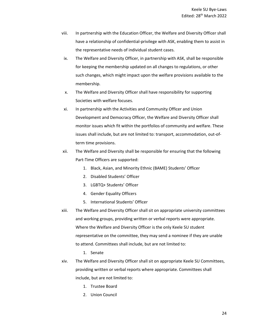- viii. In partnership with the Education Officer, the Welfare and Diversity Officer shall have a relationship of confidential-privilege with ASK, enabling them to assist in the representative needs of individual student cases.
- ix. The Welfare and Diversity Officer, in partnership with ASK, shall be responsible for keeping the membership updated on all changes to regulations, or other such changes, which might impact upon the welfare provisions available to the membership.
- x. The Welfare and Diversity Officer shall have responsibility for supporting Societies with welfare focuses.
- xi. In partnership with the Activities and Community Officer and Union Development and Democracy Officer, the Welfare and Diversity Officer shall monitor issues which fit within the portfolios of community and welfare. These issues shall include, but are not limited to: transport, accommodation, out-ofterm time provisions.
- xii. The Welfare and Diversity shall be responsible for ensuring that the following Part-Time Officers are supported:
	- 1. Black, Asian, and Minority Ethnic (BAME) Students' Officer
	- 2. Disabled Students' Officer
	- 3. LGBTQ+ Students' Officer
	- 4. Gender Equality Officers
	- 5. International Students' Officer
- xiii. The Welfare and Diversity Officer shall sit on appropriate university committees and working groups, providing written or verbal reports were appropriate. Where the Welfare and Diversity Officer is the only Keele SU student representative on the committee, they may send a nominee if they are unable to attend. Committees shall include, but are not limited to:
	- 1. Senate
- xiv. The Welfare and Diversity Officer shall sit on appropriate Keele SU Committees, providing written or verbal reports where appropriate. Committees shall include, but are not limited to:
	- 1. Trustee Board
	- 2. Union Council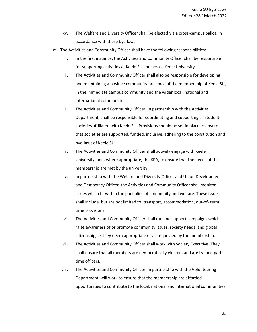- xv. The Welfare and Diversity Officer shall be elected via a cross-campus ballot, in accordance with these bye-laws.
- m. The Activities and Community Officer shall have the following responsibilities:
	- i. In the first instance, the Activities and Community Officer shall be responsible for supporting activities at Keele SU and across Keele University.
	- ii. The Activities and Community Officer shall also be responsible for developing and maintaining a positive community presence of the membership of Keele SU, in the immediate campus community and the wider local, national and international communities.
	- iii. The Activities and Community Officer, in partnership with the Activities Department, shall be responsible for coordinating and supporting all student societies affiliated with Keele SU. Provisions should be set in place to ensure that societies are supported, funded, inclusive, adhering to the constitution and bye-laws of Keele SU.
	- iv. The Activities and Community Officer shall actively engage with Keele University, and, where appropriate, the KPA, to ensure that the needs of the membership are met by the university.
	- v. In partnership with the Welfare and Diversity Officer and Union Development and Democracy Officer, the Activities and Community Officer shall monitor issues which fit within the portfolios of community and welfare. These issues shall include, but are not limited to: transport, accommodation, out-of- term time provisions.
	- vi. The Activities and Community Officer shall run and support campaigns which raise awareness of or promote community issues, society needs, and global citizenship, as they deem appropriate or as requested by the membership.
	- vii. The Activities and Community Officer shall work with Society Executive. They shall ensure that all members are democratically elected, and are trained parttime officers.
	- viii. The Activities and Community Officer, in partnership with the Volunteering Department, will work to ensure that the membership are afforded opportunities to contribute to the local, national and international communities.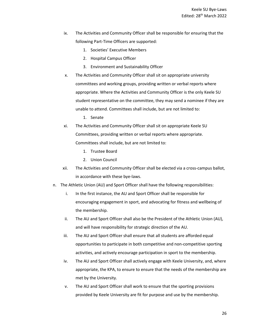- ix. The Activities and Community Officer shall be responsible for ensuring that the following Part-Time Officers are supported:
	- 1. Societies' Executive Members
	- 2. Hospital Campus Officer
	- 3. Environment and Sustainability Officer
- x. The Activities and Community Officer shall sit on appropriate university committees and working groups, providing written or verbal reports where appropriate. Where the Activities and Community Officer is the only Keele SU student representative on the committee, they may send a nominee if they are unable to attend. Committees shall include, but are not limited to:

1. Senate

- xi. The Activities and Community Officer shall sit on appropriate Keele SU Committees, providing written or verbal reports where appropriate. Committees shall include, but are not limited to:
	- 1. Trustee Board
	- 2. Union Council
- xii. The Activities and Community Officer shall be elected via a cross-campus ballot, in accordance with these bye-laws.
- n. The Athletic Union (AU) and Sport Officer shall have the following responsibilities:
	- i. In the first instance, the AU and Sport Officer shall be responsible for encouraging engagement in sport, and advocating for fitness and wellbeing of the membership.
	- ii. The AU and Sport Officer shall also be the President of the Athletic Union (AU), and will have responsibility for strategic direction of the AU.
	- iii. The AU and Sport Officer shall ensure that all students are afforded equal opportunities to participate in both competitive and non-competitive sporting activities, and actively encourage participation in sport to the membership.
	- iv. The AU and Sport Officer shall actively engage with Keele University, and, where appropriate, the KPA, to ensure to ensure that the needs of the membership are met by the University.
	- v. The AU and Sport Officer shall work to ensure that the sporting provisions provided by Keele University are fit for purpose and use by the membership.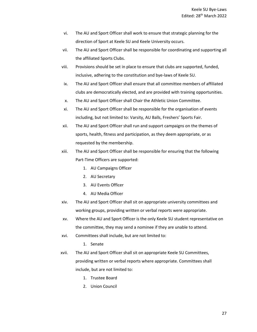- vi. The AU and Sport Officer shall work to ensure that strategic planning for the direction of Sport at Keele SU and Keele University occurs.
- vii. The AU and Sport Officer shall be responsible for coordinating and supporting all the affiliated Sports Clubs.
- viii. Provisions should be set in place to ensure that clubs are supported, funded, inclusive, adhering to the constitution and bye-laws of Keele SU.
- ix. The AU and Sport Officer shall ensure that all committee members of affiliated clubs are democratically elected, and are provided with training opportunities.
- x. The AU and Sport Officer shall Chair the Athletic Union Committee.
- xi. The AU and Sport Officer shall be responsible for the organisation of events including, but not limited to: Varsity, AU Balls, Freshers' Sports Fair.
- xii. The AU and Sport Officer shall run and support campaigns on the themes of sports, health, fitness and participation, as they deem appropriate, or as requested by the membership.
- xiii. The AU and Sport Officer shall be responsible for ensuring that the following Part-Time Officers are supported:
	- 1. AU Campaigns Officer
	- 2. AU Secretary
	- 3. AU Events Officer
	- 4. AU Media Officer
- xiv. The AU and Sport Officer shall sit on appropriate university committees and working groups, providing written or verbal reports were appropriate.
- xv. Where the AU and Sport Officer is the only Keele SU student representative on the committee, they may send a nominee if they are unable to attend.
- xvi. Committees shall include, but are not limited to:

1. Senate

- xvii. The AU and Sport Officer shall sit on appropriate Keele SU Committees, providing written or verbal reports where appropriate. Committees shall include, but are not limited to:
	- 1. Trustee Board
	- 2. Union Council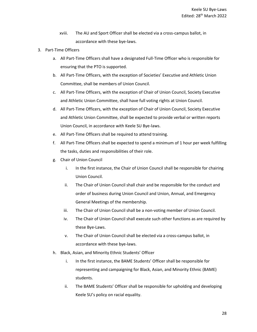- xviii. The AU and Sport Officer shall be elected via a cross-campus ballot, in accordance with these bye-laws.
- 3. Part-Time Officers
	- a. All Part-Time Officers shall have a designated Full-Time Officer who is responsible for ensuring that the PTO is supported.
	- b. All Part-Time Officers, with the exception of Societies' Executive and Athletic Union Committee, shall be members of Union Council.
	- c. All Part-Time Officers, with the exception of Chair of Union Council, Society Executive and Athletic Union Committee, shall have full voting rights at Union Council.
	- d. All Part-Time Officers, with the exception of Chair of Union Council, Society Executive and Athletic Union Committee, shall be expected to provide verbal or written reports Union Council, in accordance with Keele SU Bye-laws.
	- e. All Part-Time Officers shall be required to attend training.
	- f. All Part-Time Officers shall be expected to spend a minimum of 1 hour per week fulfilling the tasks, duties and responsibilities of their role.
	- g. Chair of Union Council
		- i. In the first instance, the Chair of Union Council shall be responsible for chairing Union Council.
		- ii. The Chair of Union Council shall chair and be responsible for the conduct and order of business during Union Council and Union, Annual, and Emergency General Meetings of the membership.
		- iii. The Chair of Union Council shall be a non-voting member of Union Council.
		- iv. The Chair of Union Council shall execute such other functions as are required by these Bye-Laws.
		- v. The Chair of Union Council shall be elected via a cross-campus ballot, in accordance with these bye-laws.
	- h. Black, Asian, and Minority Ethnic Students' Officer
		- i. In the first instance, the BAME Students' Officer shall be responsible for representing and campaigning for Black, Asian, and Minority Ethnic (BAME) students.
		- ii. The BAME Students' Officer shall be responsible for upholding and developing Keele SU's policy on racial equality.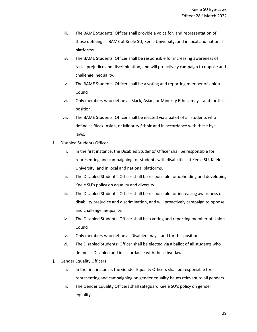- iii. The BAME Students' Officer shall provide a voice for, and representation of those defining as BAME at Keele SU, Keele University, and in local and national platforms.
- iv. The BAME Students' Officer shall be responsible for increasing awareness of racial prejudice and discrimination, and will proactively campaign to oppose and challenge inequality.
- v. The BAME Students' Officer shall be a voting and reporting member of Union Council.
- vi. Only members who define as Black, Asian, or Minority Ethnic may stand for this position.
- vii. The BAME Students' Officer shall be elected via a ballot of all students who define as Black, Asian, or Minority Ethnic and in accordance with these byelaws.
- i. Disabled Students Officer
	- i. In the first instance, the Disabled Students' Officer shall be responsible for representing and campaigning for students with disabilities at Keele SU, Keele University, and in local and national platforms.
	- ii. The Disabled Students' Officer shall be responsible for upholding and developing Keele SU's policy on equality and diversity.
	- iii. The Disabled Students' Officer shall be responsible for increasing awareness of disability prejudice and discrimination, and will proactively campaign to oppose and challenge inequality.
	- iv. The Disabled Students' Officer shall be a voting and reporting member of Union Council.
	- v. Only members who define as Disabled may stand for this position.
	- vi. The Disabled Students' Officer shall be elected via a ballot of all students who define as Disabled and in accordance with these bye-laws.
- j. Gender Equality Officers
	- i. In the first instance, the Gender Equality Officers shall be responsible for representing and campaigning on gender equality issues relevant to all genders.
	- ii. The Gender Equality Officers shall safeguard Keele SU's policy on gender equality.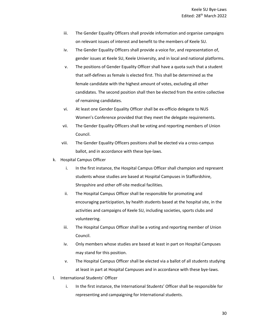- iii. The Gender Equality Officers shall provide information and organise campaigns on relevant issues of interest and benefit to the members of Keele SU.
- iv. The Gender Equality Officers shall provide a voice for, and representation of, gender issues at Keele SU, Keele University, and in local and national platforms.
- v. The positions of Gender Equality Officer shall have a quota such that a student that self-defines as female is elected first. This shall be determined as the female candidate with the highest amount of votes, excluding all other candidates. The second position shall then be elected from the entire collective of remaining candidates.
- vi. At least one Gender Equality Officer shall be ex-officio delegate to NUS Women's Conference provided that they meet the delegate requirements.
- vii. The Gender Equality Officers shall be voting and reporting members of Union Council.
- viii. The Gender Equality Officers positions shall be elected via a cross-campus ballot, and in accordance with these bye-laws.
- k. Hospital Campus Officer
	- i. In the first instance, the Hospital Campus Officer shall champion and represent students whose studies are based at Hospital Campuses in Staffordshire, Shropshire and other off-site medical facilities.
	- ii. The Hospital Campus Officer shall be responsible for promoting and encouraging participation, by health students based at the hospital site, in the activities and campaigns of Keele SU, including societies, sports clubs and volunteering.
	- iii. The Hospital Campus Officer shall be a voting and reporting member of Union Council.
	- iv. Only members whose studies are based at least in part on Hospital Campuses may stand for this position.
	- v. The Hospital Campus Officer shall be elected via a ballot of all students studying at least in part at Hospital Campuses and in accordance with these bye-laws.
- l. International Students' Officer
	- i. In the first instance, the International Students' Officer shall be responsible for representing and campaigning for International students.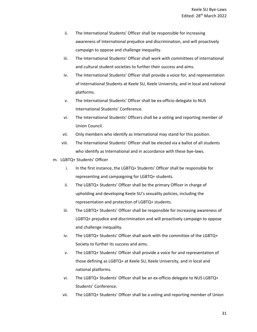- ii. The International Students' Officer shall be responsible for increasing awareness of International prejudice and discrimination, and will proactively campaign to oppose and challenge inequality.
- iii. The International Students' Officer shall work with committees of international and cultural student societies to further their success and aims.
- iv. The International Students' Officer shall provide a voice for, and representation of International Students at Keele SU, Keele University, and in local and national platforms.
- v. The International Students' Officer shall be ex-officio delegate to NUS International Students' Conference.
- vi. The International Students' Officers shall be a voting and reporting member of Union Council.
- vii. Only members who identify as International may stand for this position.
- viii. The International Students' Officer shall be elected via a ballot of all students who identify as International and in accordance with these bye-laws.
- m. LGBTQ+ Students' Officer
	- i. In the first instance, the LGBTQ+ Students' Officer shall be responsible for representing and campaigning for LGBTQ+ students.
	- ii. The LGBTQ+ Students' Officer shall be the primary Officer in charge of upholding and developing Keele SU's sexuality policies, including the representation and protection of LGBTQ+ students.
	- iii. The LGBTQ+ Students' Officer shall be responsible for increasing awareness of LGBTQ+ prejudice and discrimination and will proactively campaign to oppose and challenge inequality.
	- iv. The LGBTQ+ Students' Officer shall work with the committee of the LGBTQ+ Society to further its success and aims.
	- v. The LGBTQ+ Students' Officer shall provide a voice for and representation of those defining as LGBTQ+ at Keele SU, Keele University, and in local and national platforms.
	- vi. The LGBTQ+ Students' Officer shall be an ex-officio delegate to NUS LGBTQ+ Students' Conference.
	- vii. The LGBTQ+ Students' Officer shall be a voting and reporting member of Union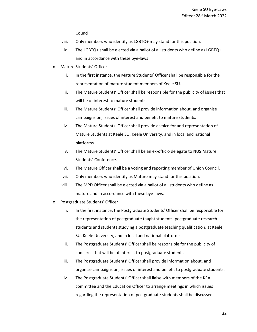Council.

- viii. Only members who identify as LGBTQ+ may stand for this position.
- ix. The LGBTQ+ shall be elected via a ballot of all students who define as LGBTQ+ and in accordance with these bye-laws
- n. Mature Students' Officer
	- i. In the first instance, the Mature Students' Officer shall be responsible for the representation of mature student members of Keele SU.
	- ii. The Mature Students' Officer shall be responsible for the publicity of issues that will be of interest to mature students.
	- iii. The Mature Students' Officer shall provide information about, and organise campaigns on, issues of interest and benefit to mature students.
	- iv. The Mature Students' Officer shall provide a voice for and representation of Mature Students at Keele SU, Keele University, and in local and national platforms.
	- v. The Mature Students' Officer shall be an ex-officio delegate to NUS Mature Students' Conference.
	- vi. The Mature Officer shall be a voting and reporting member of Union Council.
	- vii. Only members who identify as Mature may stand for this position.
	- viii. The MPD Officer shall be elected via a ballot of all students who define as mature and in accordance with these bye-laws.
- o. Postgraduate Students' Officer
	- i. In the first instance, the Postgraduate Students' Officer shall be responsible for the representation of postgraduate taught students, postgraduate research students and students studying a postgraduate teaching qualification, at Keele SU, Keele University, and in local and national platforms.
	- ii. The Postgraduate Students' Officer shall be responsible for the publicity of concerns that will be of interest to postgraduate students.
	- iii. The Postgraduate Students' Officer shall provide information about, and organise campaigns on, issues of interest and benefit to postgraduate students.
	- iv. The Postgraduate Students' Officer shall liaise with members of the KPA committee and the Education Officer to arrange meetings in which issues regarding the representation of postgraduate students shall be discussed.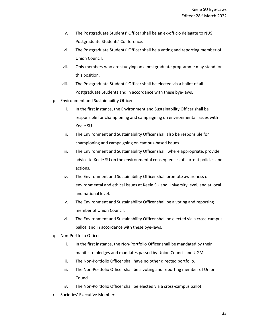- v. The Postgraduate Students' Officer shall be an ex-officio delegate to NUS Postgraduate Students' Conference.
- vi. The Postgraduate Students' Officer shall be a voting and reporting member of Union Council.
- vii. Only members who are studying on a postgraduate programme may stand for this position.
- viii. The Postgraduate Students' Officer shall be elected via a ballot of all Postgraduate Students and in accordance with these bye-laws.
- p. Environment and Sustainability Officer
	- i. In the first instance, the Environment and Sustainability Officer shall be responsible for championing and campaigning on environmental issues with Keele SU.
	- ii. The Environment and Sustainability Officer shall also be responsible for championing and campaigning on campus-based issues.
	- iii. The Environment and Sustainability Officer shall, where appropriate, provide advice to Keele SU on the environmental consequences of current policies and actions.
	- iv. The Environment and Sustainability Officer shall promote awareness of environmental and ethical issues at Keele SU and University level, and at local and national level.
	- v. The Environment and Sustainability Officer shall be a voting and reporting member of Union Council.
	- vi. The Environment and Sustainability Officer shall be elected via a cross-campus ballot, and in accordance with these bye-laws.
- q. Non-Portfolio Officer
	- i. In the first instance, the Non-Portfolio Officer shall be mandated by their manifesto pledges and mandates passed by Union Council and UGM.
	- ii. The Non-Portfolio Officer shall have no other directed portfolio.
	- iii. The Non-Portfolio Officer shall be a voting and reporting member of Union Council.
	- iv. The Non-Portfolio Officer shall be elected via a cross-campus ballot.
- r. Societies' Executive Members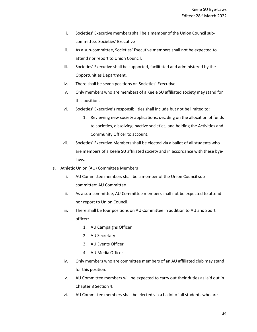- i. Societies' Executive members shall be a member of the Union Council subcommittee: Societies' Executive
- ii. As a sub-committee, Societies' Executive members shall not be expected to attend nor report to Union Council.
- iii. Societies' Executive shall be supported, facilitated and administered by the Opportunities Department.
- iv. There shall be seven positions on Societies' Executive.
- v. Only members who are members of a Keele SU affiliated society may stand for this position.
- vi. Societies' Executive's responsibilities shall include but not be limited to:
	- 1. Reviewing new society applications, deciding on the allocation of funds to societies, dissolving inactive societies, and holding the Activities and Community Officer to account.
- vii. Societies' Executive Members shall be elected via a ballot of all students who are members of a Keele SU affiliated society and in accordance with these byelaws.
- s. Athletic Union (AU) Committee Members
	- i. AU Committee members shall be a member of the Union Council subcommittee: AU Committee
	- ii. As a sub-committee, AU Committee members shall not be expected to attend nor report to Union Council.
	- iii. There shall be four positions on AU Committee in addition to AU and Sport officer:
		- 1. AU Campaigns Officer
		- 2. AU Secretary
		- 3. AU Events Officer
		- 4. AU Media Officer
	- iv. Only members who are committee members of an AU affiliated club may stand for this position.
	- v. AU Committee members will be expected to carry out their duties as laid out in Chapter 8 Section 4.
	- vi. AU Committee members shall be elected via a ballot of all students who are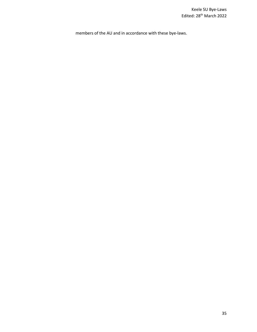members of the AU and in accordance with these bye-laws.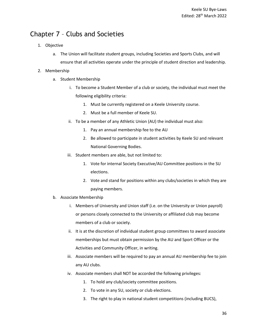## <span id="page-35-0"></span>Chapter 7 – Clubs and Societies

- 1. Objective
	- a. The Union will facilitate student groups, including Societies and Sports Clubs, and will ensure that all activities operate under the principle of student direction and leadership.

#### 2. Membership

- a. Student Membership
	- i. To become a Student Member of a club or society, the individual must meet the following eligibility criteria:
		- 1. Must be currently registered on a Keele University course.
		- 2. Must be a full member of Keele SU.
	- ii. To be a member of any Athletic Union (AU) the individual must also:
		- 1. Pay an annual membership fee to the AU
		- 2. Be allowed to participate in student activities by Keele SU and relevant National Governing Bodies.
	- iii. Student members are able, but not limited to:
		- 1. Vote for internal Society Executive/AU Committee positions in the SU elections.
		- 2. Vote and stand for positions within any clubs/societies in which they are paying members.
- b. Associate Membership
	- i. Members of University and Union staff (i.e. on the University or Union payroll) or persons closely connected to the University or affiliated club may become members of a club or society.
	- ii. It is at the discretion of individual student group committees to award associate memberships but must obtain permission by the AU and Sport Officer or the Activities and Community Officer, in writing.
	- iii. Associate members will be required to pay an annual AU membership fee to join any AU clubs.
	- iv. Associate members shall NOT be accorded the following privileges:
		- 1. To hold any club/society committee positions.
		- 2. To vote in any SU, society or club elections.
		- 3. The right to play in national student competitions (including BUCS),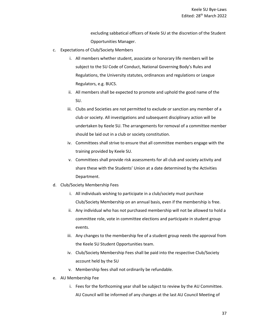excluding sabbatical officers of Keele SU at the discretion of the Student Opportunities Manager.

- c. Expectations of Club/Society Members
	- i. All members whether student, associate or honorary life members will be subject to the SU Code of Conduct, National Governing Body's Rules and Regulations, the University statutes, ordinances and regulations or League Regulators, e.g. BUCS.
	- ii. All members shall be expected to promote and uphold the good name of the SU.
	- iii. Clubs and Societies are not permitted to exclude or sanction any member of a club or society. All investigations and subsequent disciplinary action will be undertaken by Keele SU. The arrangements for removal of a committee member should be laid out in a club or society constitution.
	- iv. Committees shall strive to ensure that all committee members engage with the training provided by Keele SU.
	- v. Committees shall provide risk assessments for all club and society activity and share these with the Students' Union at a date determined by the Activities Department.
- d. Club/Society Membership Fees
	- i. All individuals wishing to participate in a club/society must purchase Club/Society Membership on an annual basis, even if the membership is free.
	- ii. Any individual who has not purchased membership will not be allowed to hold a committee role, vote in committee elections and participate in student group events.
	- iii. Any changes to the membership fee of a student group needs the approval from the Keele SU Student Opportunities team.
	- iv. Club/Society Membership Fees shall be paid into the respective Club/Society account held by the SU
	- v. Membership fees shall not ordinarily be refundable.
- e. AU Membership Fee
	- i. Fees for the forthcoming year shall be subject to review by the AU Committee. AU Council will be informed of any changes at the last AU Council Meeting of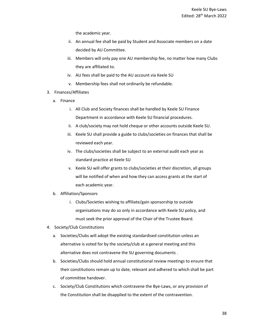the academic year.

- ii. An annual fee shall be paid by Student and Associate members on a date decided by AU Committee.
- iii. Members will only pay one AU membership fee, no matter how many Clubs they are affiliated to.
- iv. AU fees shall be paid to the AU account via Keele SU
- v. Membership fees shall not ordinarily be refundable.
- 3. Finances/Affiliates
	- a. Finance
		- i. All Club and Society finances shall be handled by Keele SU Finance Department in accordance with Keele SU financial procedures.
		- ii. A club/society may not hold cheque or other accounts outside Keele SU.
		- iii. Keele SU shall provide a guide to clubs/societies on finances that shall be reviewed each year.
		- iv. The clubs/societies shall be subject to an external audit each year as standard practice at Keele SU
		- v. Keele SU will offer grants to clubs/societies at their discretion, all groups will be notified of when and how they can access grants at the start of each academic year.
	- b. Affiliation/Sponsors
		- i. Clubs/Societies wishing to affiliate/gain sponsorship to outside organisations may do so only in accordance with Keele SU policy, and must seek the prior approval of the Chair of the Trustee Board.
- 4. Society/Club Constitutions
	- a. Societies/Clubs will adopt the existing standardised constitution unless an alternative is voted for by the society/club at a general meeting and this alternative does not contravene the SU governing documents .
	- b. Societies/Clubs should hold annual constitutional review meetings to ensure that their constitutions remain up to date, relevant and adhered to which shall be part of committee handover.
	- c. Society/Club Constitutions which contravene the Bye-Laws, or any provision of the Constitution shall be disapplied to the extent of the contravention.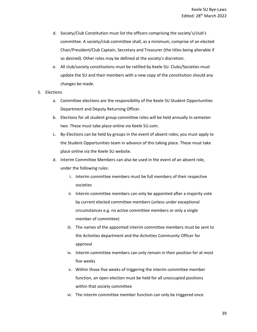- d. Society/Club Constitution must list the officers comprising the society's/club's committee. A society/club committee shall, as a minimum, comprise of an elected Chair/President/Club Captain, Secretary and Treasurer (the titles being alterable if so desired). Other roles may be defined at the society's discretion.
- e. All club/society constitutions must be ratified by Keele SU. Clubs/Societies must update the SU and their members with a new copy of the constitution should any changes be made.
- 5. Elections
	- a. Committee elections are the responsibility of the Keele SU Student Opportunities Department and Deputy Returning Officer.
	- b. Elections for all student group committee roles will be held annually in semester two. These must take place online via Keele SU.com.
	- c. By-Elections can be held by groups in the event of absent roles; you must apply to the Student Opportunities team in advance of this taking place. These must take place online via the Keele SU website.
	- d. Interim Committee Members can also be used in the event of an absent role, under the following rules:
		- i. Interim committee members must be full members of their respective societies
		- ii. Interim committee members can only be appointed after a majority vote by current elected committee members (unless under exceptional circumstances e.g. no active committee members or only a single member of committee)
		- iii. The names of the appointed interim committee members must be sent to the Activities department and the Activities Community Officer for approval
		- iv. Interim committee members can only remain in their position for at most five weeks
		- v. Within those five weeks of triggering the interim committee member function, an open election must be held for all unoccupied positions within that society committee
		- vi. The interim committee member function can only be triggered once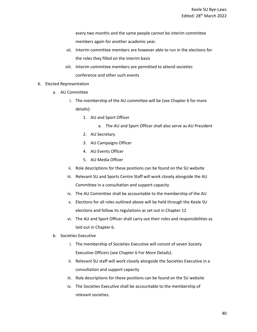every two months and the same people cannot be interim committee members again for another academic year.

- vii. Interim committee members are however able to run in the elections for the roles they filled on the interim basis
- viii. Interim committee members are permitted to attend societies conference and other such events
- 6. Elected Representation
	- a. AU Committee
		- i. The membership of the AU committee will be (see Chapter 6 for more details):
			- 1. AU and Sport Officer
				- a. The AU and Sport Officer shall also serve as AU President
			- 2. AU Secretary
			- 3. AU Campaigns Officer
			- 4. AU Events Officer
			- 5. AU Media Officer
		- ii. Role descriptions for these positions can be found on the SU website
		- iii. Relevant SU and Sports Centre Staff will work closely alongside the AU Committee in a consultation and support capacity
		- iv. The AU Committee shall be accountable to the membership of the AU
		- v. Elections for all roles outlined above will be held through the Keele SU elections and follow its regulations as set out in Chapter 12
		- vi. The AU and Sport Officer shall carry out their roles and responsibilities as laid out in Chapter 6.
	- b. Societies Executive
		- i. The membership of Societies Executive will consist of seven Society Executive Officers (see Chapter 6 For More Details).
		- ii. Relevant SU staff will work closely alongside the Societies Executive in a consultation and support capacity
		- iii. Role descriptions for these positions can be found on the SU website
		- iv. The Societies Executive shall be accountable to the membership of relevant societies.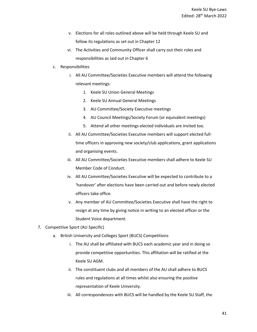- v. Elections for all roles outlined above will be held through Keele SU and follow its regulations as set out in Chapter 12
- vi. The Activities and Community Officer shall carry out their roles and responsibilities as laid out in Chapter 6
- c. Responsibilities
	- i. All AU Committee/Societies Executive members will attend the following relevant meetings:
		- 1. Keele SU Union General Meetings
		- 2. Keele SU Annual General Meetings
		- 3. AU Committee/Society Executive meetings
		- 4. AU Council Meetings/Society Forum (or equivalent meetings)
		- 5. Attend all other meetings elected individuals are invited too.
	- ii. All AU Committee/Societies Executive members will support elected fulltime officers in approving new society/club applications, grant applications and organising events.
	- iii. All AU Committee/Societies Executive members shall adhere to Keele SU Member Code of Conduct.
	- iv. All AU Committee/Societies Executive will be expected to contribute to a 'handover' after elections have been carried out and before newly elected officers take office.
	- v. Any member of AU Committee/Societies Executive shall have the right to resign at any time by giving notice in writing to an elected officer or the Student Voice department.
- 7. Competitive Sport (AU Specific)
	- a. British University and Colleges Sport (BUCS) Competitions
		- i. The AU shall be affiliated with BUCS each academic year and in doing so provide competitive opportunities. This affiliation will be ratified at the Keele SU AGM.
		- ii. The constituent clubs and all members of the AU shall adhere to BUCS rules and regulations at all times whilst also ensuring the positive representation of Keele University.
		- iii. All correspondences with BUCS will be handled by the Keele SU Staff, the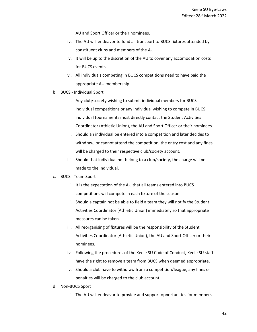AU and Sport Officer or their nominees.

- iv. The AU will endeavor to fund all transport to BUCS fixtures attended by constituent clubs and members of the AU.
- v. It will be up to the discretion of the AU to cover any accomodation costs for BUCS events.
- vi. All individuals competing in BUCS competitions need to have paid the appropriate AU membership.
- b. BUCS Individual Sport
	- i. Any club/society wishing to submit individual members for BUCS individual competitions or any individual wishing to compete in BUCS individual tournaments must directly contact the Student Activities Coordinator (Athletic Union), the AU and Sport Officer or their nominees.
	- ii. Should an individual be entered into a competition and later decides to withdraw, or cannot attend the competition, the entry cost and any fines will be charged to their respective club/society account.
	- iii. Should that individual not belong to a club/society, the charge will be made to the individual.
- c. BUCS Team Sport
	- i. It is the expectation of the AU that all teams entered into BUCS competitions will compete in each fixture of the season.
	- ii. Should a captain not be able to field a team they will notify the Student Activities Coordinator (Athletic Union) immediately so that appropriate measures can be taken.
	- iii. All reorganising of fixtures will be the responsibility of the Student Activities Coordinator (Athletic Union), the AU and Sport Officer or their nominees.
	- iv. Following the procedures of the Keele SU Code of Conduct, Keele SU staff have the right to remove a team from BUCS when deemed appropriate.
	- v. Should a club have to withdraw from a competition/league, any fines or penalties will be charged to the club account.
- d. Non-BUCS Sport
	- i. The AU will endeavor to provide and support opportunities for members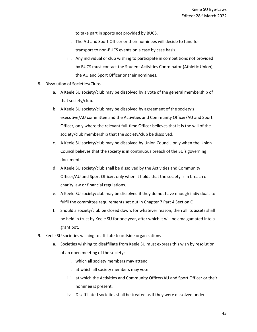to take part in sports not provided by BUCS.

- ii. The AU and Sport Officer or their nominees will decide to fund for transport to non-BUCS events on a case by case basis.
- iii. Any individual or club wishing to participate in competitions not provided by BUCS must contact the Student Activities Coordinator (Athletic Union), the AU and Sport Officer or their nominees.
- 8. Dissolution of Societies/Clubs
	- a. A Keele SU society/club may be dissolved by a vote of the general membership of that society/club.
	- b. A Keele SU society/club may be dissolved by agreement of the society's executive/AU committee and the Activities and Community Officer/AU and Sport Officer, only where the relevant full-time Officer believes that it is the will of the society/club membership that the society/club be dissolved.
	- c. A Keele SU society/club may be dissolved by Union Council, only when the Union Council believes that the society is in continuous breach of the SU's governing documents.
	- d. A Keele SU society/club shall be dissolved by the Activities and Community Officer/AU and Sport Officer, only when it holds that the society is in breach of charity law or financial regulations.
	- e. A Keele SU society/club may be dissolved if they do not have enough individuals to fulfil the committee requirements set out in Chapter 7 Part 4 Section C
	- f. Should a society/club be closed down, for whatever reason, then all its assets shall be held in trust by Keele SU for one year, after which it will be amalgamated into a grant pot.
- 9. Keele SU societies wishing to affiliate to outside organisations
	- a. Societies wishing to disaffiliate from Keele SU must express this wish by resolution of an open meeting of the society:
		- i. which all society members may attend
		- ii. at which all society members may vote
		- iii. at which the Activities and Community Officer/AU and Sport Officer or their nominee is present.
		- iv. Disaffiliated societies shall be treated as if they were dissolved under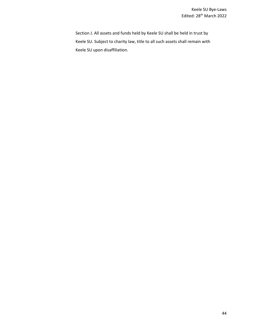Section J. All assets and funds held by Keele SU shall be held in trust by Keele SU. Subject to charity law, title to all such assets shall remain with Keele SU upon disaffiliation.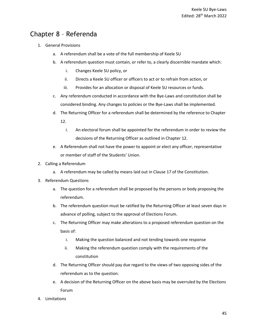## <span id="page-44-0"></span>Chapter 8 – Referenda

- 1. General Provisions
	- a. A referendum shall be a vote of the full membership of Keele SU
	- b. A referendum question must contain, or refer to, a clearly discernible mandate which:
		- i. Changes Keele SU policy, or
		- ii. Directs a Keele SU officer or officers to act or to refrain from action, or
		- iii. Provides for an allocation or disposal of Keele SU resources or funds.
	- c. Any referendum conducted in accordance with the Bye-Laws and constitution shall be considered binding. Any changes to policies or the Bye-Laws shall be implemented.
	- d. The Returning Officer for a referendum shall be determined by the reference to Chapter 12.
		- i. An electoral forum shall be appointed for the referendum in order to review the decisions of the Returning Officer as outlined in Chapter 12.
	- e. A Referendum shall not have the power to appoint or elect any officer, representative or member of staff of the Students' Union.
- 2. Calling a Referendum
	- a. A referendum may be called by means laid out in Clause 17 of the Constitution.
- 3. Referendum Questions
	- a. The question for a referendum shall be proposed by the persons or body proposing the referendum.
	- b. The referendum question must be ratified by the Returning Officer at least seven days in advance of polling, subject to the approval of Elections Forum.
	- c. The Returning Officer may make alterations to a proposed referendum question on the basis of:
		- i. Making the question balanced and not tending towards one response
		- ii. Making the referendum question comply with the requirements of the constitution
	- d. The Returning Officer should pay due regard to the views of two opposing sides of the referendum as to the question.
	- e. A decision of the Returning Officer on the above basis may be overruled by the Elections Forum
- 4. Limitations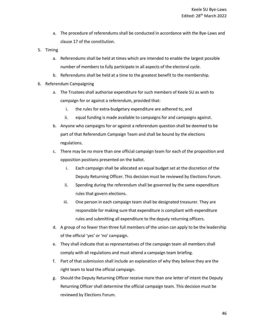- a. The procedure of referendums shall be conducted in accordance with the Bye-Laws and clause 17 of the constitution.
- 5. Timing
	- a. Referendums shall be held at times which are intended to enable the largest possible number of members to fully participate in all aspects of the electoral cycle.
	- b. Referendums shall be held at a time to the greatest benefit to the membership.
- 6. Referendum Campaigning
	- a. The Trustees shall authorise expenditure for such members of Keele SU as wish to campaign for or against a referendum, provided that:
		- i. the rules for extra-budgetary expenditure are adhered to, and
		- ii. equal funding is made available to campaigns for and campaigns against.
	- b. Anyone who campaigns for or against a referendum question shall be deemed to be part of that Referendum Campaign Team and shall be bound by the elections regulations.
	- c. There may be no more than one official campaign team for each of the proposition and opposition positions presented on the ballot.
		- i. Each campaign shall be allocated an equal budget set at the discretion of the Deputy Returning Officer. This decision must be reviewed by Elections Forum.
		- ii. Spending during the referendum shall be governed by the same expenditure rules that govern elections.
		- iii. One person in each campaign team shall be designated treasurer. They are responsible for making sure that expenditure is compliant with expenditure rules and submitting all expenditure to the deputy returning officers.
	- d. A group of no fewer than three full members of the union can apply to be the leadership of the official 'yes' or 'no' campaign.
	- e. They shall indicate that as representatives of the campaign team all members shall comply with all regulations and must attend a campaign team briefing.
	- f. Part of that submission shall include an explanation of why they believe they are the right team to lead the official campaign.
	- g. Should the Deputy Returning Officer receive more than one letter of intent the Deputy Returning Officer shall determine the official campaign team. This decision must be reviewed by Elections Forum.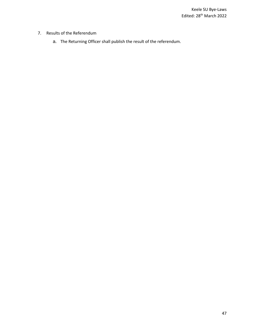- 7. Results of the Referendum
	- a. The Returning Officer shall publish the result of the referendum.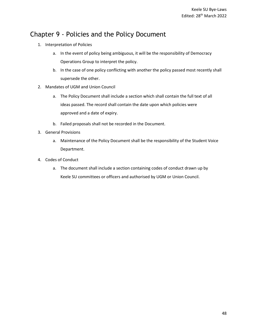## <span id="page-47-0"></span>Chapter 9 - Policies and the Policy Document

- 1. Interpretation of Policies
	- a. In the event of policy being ambiguous, it will be the responsibility of Democracy Operations Group to interpret the policy.
	- b. In the case of one policy conflicting with another the policy passed most recently shall supersede the other.
- 2. Mandates of UGM and Union Council
	- a. The Policy Document shall include a section which shall contain the full text of all ideas passed. The record shall contain the date upon which policies were approved and a date of expiry.
	- b. Failed proposals shall not be recorded in the Document.
- 3. General Provisions
	- a. Maintenance of the Policy Document shall be the responsibility of the Student Voice Department.
- 4. Codes of Conduct
	- a. The document shall include a section containing codes of conduct drawn up by Keele SU committees or officers and authorised by UGM or Union Council.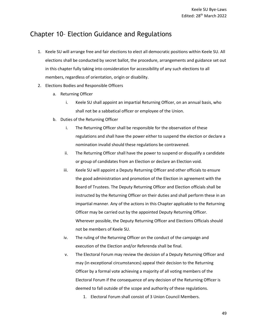## <span id="page-48-0"></span>Chapter 10– Election Guidance and Regulations

- 1. Keele SU will arrange free and fair elections to elect all democratic positions within Keele SU. All elections shall be conducted by secret ballot, the procedure, arrangements and guidance set out in this chapter fully taking into consideration for accessibility of any such elections to all members, regardless of orientation, origin or disability.
- 2. Elections Bodies and Responsible Officers
	- a. Returning Officer
		- i. Keele SU shall appoint an impartial Returning Officer, on an annual basis, who shall not be a sabbatical officer or employee of the Union.
	- b. Duties of the Returning Officer
		- i. The Returning Officer shall be responsible for the observation of these regulations and shall have the power either to suspend the election or declare a nomination invalid should these regulations be contravened.
		- ii. The Returning Officer shall have the power to suspend or disqualify a candidate or group of candidates from an Election or declare an Election void.
		- iii. Keele SU will appoint a Deputy Returning Officer and other officials to ensure the good administration and promotion of the Election in agreement with the Board of Trustees. The Deputy Returning Officer and Election officials shall be instructed by the Returning Officer on their duties and shall perform these in an impartial manner. Any of the actions in this Chapter applicable to the Returning Officer may be carried out by the appointed Deputy Returning Officer. Wherever possible, the Deputy Returning Officer and Elections Officials should not be members of Keele SU.
		- iv. The ruling of the Returning Officer on the conduct of the campaign and execution of the Election and/or Referenda shall be final.
		- v. The Electoral Forum may review the decision of a Deputy Returning Officer and may (in exceptional circumstances) appeal their decision to the Returning Officer by a formal vote achieving a majority of all voting members of the Electoral Forum if the consequence of any decision of the Returning Officer is deemed to fall outside of the scope and authority of these regulations.
			- 1. Electoral Forum shall consist of 3 Union Council Members.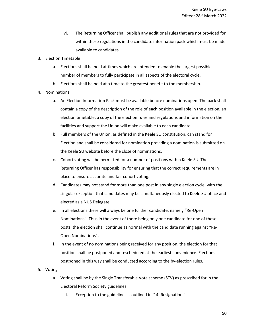- vi. The Returning Officer shall publish any additional rules that are not provided for within these regulations in the candidate information pack which must be made available to candidates.
- 3. Election Timetable
	- a. Elections shall be held at times which are intended to enable the largest possible number of members to fully participate in all aspects of the electoral cycle.
	- b. Elections shall be held at a time to the greatest benefit to the membership.
- 4. Nominations
	- a. An Election Information Pack must be available before nominations open. The pack shall contain a copy of the description of the role of each position available in the election, an election timetable, a copy of the election rules and regulations and information on the facilities and support the Union will make available to each candidate.
	- b. Full members of the Union, as defined in the Keele SU constitution, can stand for Election and shall be considered for nomination providing a nomination is submitted on the Keele SU website before the close of nominations.
	- c. Cohort voting will be permitted for a number of positions within Keele SU. The Returning Officer has responsibility for ensuring that the correct requirements are in place to ensure accurate and fair cohort voting.
	- d. Candidates may not stand for more than one post in any single election cycle, with the singular exception that candidates may be simultaneously elected to Keele SU office and elected as a NUS Delegate.
	- e. In all elections there will always be one further candidate, namely "Re-Open Nominations". Thus in the event of there being only one candidate for one of these posts, the election shall continue as normal with the candidate running against "Re-Open Nominations".
	- f. In the event of no nominations being received for any position, the election for that position shall be postponed and rescheduled at the earliest convenience. Elections postponed in this way shall be conducted according to the by-election rules.
- 5. Voting
	- a. Voting shall be by the Single Transferable Vote scheme (STV) as prescribed for in the Electoral Reform Society guidelines.
		- i. Exception to the guidelines is outlined in '14. Resignations'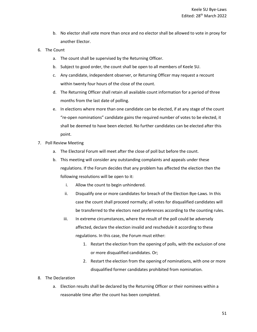- b. No elector shall vote more than once and no elector shall be allowed to vote in proxy for another Elector.
- 6. The Count
	- a. The count shall be supervised by the Returning Officer.
	- b. Subject to good order, the count shall be open to all members of Keele SU.
	- c. Any candidate, independent observer, or Returning Officer may request a recount within twenty four hours of the close of the count.
	- d. The Returning Officer shall retain all available count information for a period of three months from the last date of polling.
	- e. In elections where more than one candidate can be elected, if at any stage of the count "re-open nominations" candidate gains the required number of votes to be elected, it shall be deemed to have been elected. No further candidates can be elected after this point.
- 7. Poll Review Meeting
	- a. The Electoral Forum will meet after the close of poll but before the count.
	- b. This meeting will consider any outstanding complaints and appeals under these regulations. If the Forum decides that any problem has affected the election then the following resolutions will be open to it:
		- i. Allow the count to begin unhindered.
		- ii. Disqualify one or more candidates for breach of the Election Bye-Laws. In this case the count shall proceed normally; all votes for disqualified candidates will be transferred to the electors next preferences according to the counting rules.
		- iii. In extreme circumstances, where the result of the poll could be adversely affected, declare the election invalid and reschedule it according to these regulations. In this case, the Forum must either:
			- 1. Restart the election from the opening of polls, with the exclusion of one or more disqualified candidates. Or;
			- 2. Restart the election from the opening of nominations, with one or more disqualified former candidates prohibited from nomination.
- 8. The Declaration
	- a. Election results shall be declared by the Returning Officer or their nominees within a reasonable time after the count has been completed.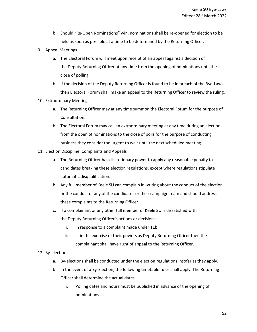- b. Should "Re-Open Nominations" win, nominations shall be re-opened for election to be held as soon as possible at a time to be determined by the Returning Officer.
- 9. Appeal Meetings
	- a. The Electoral Forum will meet upon receipt of an appeal against a decision of the Deputy Returning Officer at any time from the opening of nominations until the close of polling.
	- b. If the decision of the Deputy Returning Officer is found to be in breach of the Bye-Laws then Electoral Forum shall make an appeal to the Returning Officer to review the ruling.
- 10. Extraordinary Meetings
	- a. The Returning Officer may at any time summon the Electoral Forum for the purpose of Consultation.
	- b. The Electoral Forum may call an extraordinary meeting at any time during an election from the open of nominations to the close of polls for the purpose of conducting business they consider too urgent to wait until the next scheduled meeting.
- 11. Election Discipline, Complaints and Appeals
	- a. The Returning Officer has discretionary power to apply any reasonable penalty to candidates breaking these election regulations, except where regulations stipulate automatic disqualification.
	- b. Any full member of Keele SU can complain in writing about the conduct of the election or the conduct of any of the candidates or their campaign team and should address these complaints to the Returning Officer.
	- c. If a complainant or any other full member of Keele SU is dissatisfied with the Deputy Returning Officer's actions or decisions:
		- i. in response to a complaint made under 11b;
		- ii. ii. in the exercise of their powers as Deputy Returning Officer then the complainant shall have right of appeal to the Returning Officer.

#### 12. By-elections

- a. By-elections shall be conducted under the election regulations insofar as they apply.
- b. In the event of a By-Election, the following timetable rules shall apply. The Returning Officer shall determine the actual dates.
	- i. Polling dates and hours must be published in advance of the opening of nominations.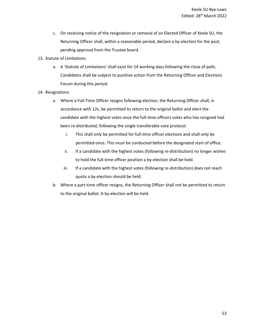- c. On receiving notice of the resignation or removal of an Elected Officer of Keele SU, the Returning Officer shall, within a reasonable period, declare a by-election for the post, pending approval from the Trustee board.
- 13. Statute of Limitations
	- a. A 'Statute of Limitations' shall exist for 14 working days following the close of polls. Candidates shall be subject to punitive action from the Returning Officer and Elections Forum during this period.
- 14. Resignations
	- a. Where a Full-Time Officer resigns following election, the Returning Officer shall, in accordance with 12c, be permitted to return to the original ballot and elect the candidate with the highest votes once the full-time officers votes who has resigned had been re-distributed, following the single transferable vote protocol.
		- i. This shall only be permitted for full-time officer elections and shall only be permitted once. This must be conducted before the designated start of office.
		- ii. If a candidate with the highest votes (following re-distribution) no longer wishes to hold the full-time officer position a by-election shall be held.
		- iii. If a candidate with the highest votes (following re-distribution) does not reach quota a by-election should be held.
	- b. Where a part-time officer resigns, the Returning Officer shall not be permitted to return to the original ballot. A by-election will be held.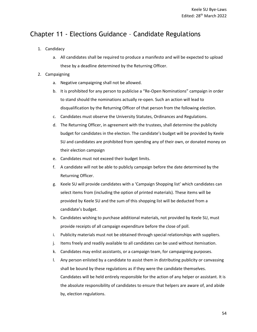## <span id="page-53-0"></span>Chapter 11 - Elections Guidance – Candidate Regulations

- 1. Candidacy
	- a. All candidates shall be required to produce a manifesto and will be expected to upload these by a deadline determined by the Returning Officer.
- 2. Campaigning
	- a. Negative campaigning shall not be allowed.
	- b. It is prohibited for any person to publicise a "Re-Open Nominations" campaign in order to stand should the nominations actually re-open. Such an action will lead to disqualification by the Returning Officer of that person from the following election.
	- c. Candidates must observe the University Statutes, Ordinances and Regulations.
	- d. The Returning Officer, in agreement with the trustees, shall determine the publicity budget for candidates in the election. The candidate's budget will be provided by Keele SU and candidates are prohibited from spending any of their own, or donated money on their election campaign
	- e. Candidates must not exceed their budget limits.
	- f. A candidate will not be able to publicly campaign before the date determined by the Returning Officer.
	- g. Keele SU will provide candidates with a 'Campaign Shopping list' which candidates can select items from (including the option of printed materials). These items will be provided by Keele SU and the sum of this shopping list will be deducted from a candidate's budget.
	- h. Candidates wishing to purchase additional materials, not provided by Keele SU, must provide receipts of all campaign expenditure before the close of poll.
	- i. Publicity materials must not be obtained through special relationships with suppliers.
	- j. Items freely and readily available to all candidates can be used without itemisation.
	- k. Candidates may enlist assistants, or a campaign team, for campaigning purposes.
	- l. Any person enlisted by a candidate to assist them in distributing publicity or canvassing shall be bound by these regulations as if they were the candidate themselves. Candidates will be held entirely responsible for the action of any helper or assistant. It is the absolute responsibility of candidates to ensure that helpers are aware of, and abide by, election regulations.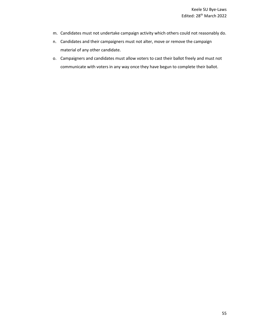- m. Candidates must not undertake campaign activity which others could not reasonably do.
- n. Candidates and their campaigners must not alter, move or remove the campaign material of any other candidate.
- o. Campaigners and candidates must allow voters to cast their ballot freely and must not communicate with voters in any way once they have begun to complete their ballot.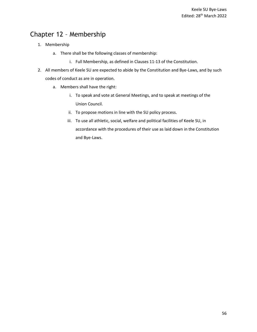## <span id="page-55-0"></span>Chapter 12 – Membership

- 1. Membership
	- a. There shall be the following classes of membership:
		- i. Full Membership, as defined in Clauses 11-13 of the Constitution.
- <span id="page-55-1"></span>2. All members of Keele SU are expected to abide by the Constitution and Bye-Laws, and by such codes of conduct as are in operation.
	- a. Members shall have the right:
		- i. To speak and vote at General Meetings, and to speak at meetings of the Union Council.
		- ii. To propose motions in line with the SU policy process.
		- iii. To use all athletic, social, welfare and political facilities of Keele SU, in accordance with the procedures of their use as laid down in the Constitution and Bye-Laws.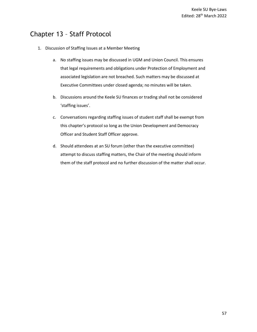## Chapter 13 – Staff Protocol

- 1. Discussion of Staffing Issues at a Member Meeting
	- a. No staffing issues may be discussed in UGM and Union Council. This ensures that legal requirements and obligations under Protection of Employment and associated legislation are not breached. Such matters may be discussed at Executive Committees under closed agenda; no minutes will be taken.
	- b. Discussions around the Keele SU finances or trading shall not be considered 'staffing issues'.
	- c. Conversations regarding staffing issues of student staff shall be exempt from this chapter's protocol so long as the Union Development and Democracy Officer and Student Staff Officer approve.
	- d. Should attendees at an SU forum (other than the executive committee) attempt to discuss staffing matters, the Chair of the meeting should inform them of the staff protocol and no further discussion of the matter shall occur.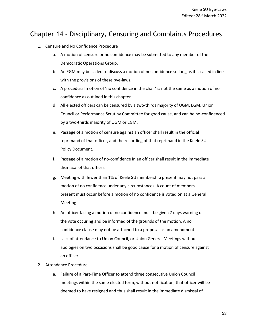## <span id="page-57-0"></span>Chapter 14 – Disciplinary, Censuring and Complaints Procedures

- 1. Censure and No Confidence Procedure
	- a. A motion of censure or no confidence may be submitted to any member of the Democratic Operations Group.
	- b. An EGM may be called to discuss a motion of no confidence so long as it is called in line with the provisions of these bye-laws.
	- c. A procedural motion of 'no confidence in the chair' is not the same as a motion of no confidence as outlined in this chapter.
	- d. All elected officers can be censured by a two-thirds majority of UGM, EGM, Union Council or Performance Scrutiny Committee for good cause, and can be no-confidenced by a two-thirds majority of UGM or EGM.
	- e. Passage of a motion of censure against an officer shall result in the official reprimand of that officer, and the recording of that reprimand in the Keele SU Policy Document.
	- f. Passage of a motion of no-confidence in an officer shall result in the immediate dismissal of that officer.
	- g. Meeting with fewer than 1% of Keele SU membership present may not pass a motion of no confidence under any circumstances. A count of members present must occur before a motion of no confidence is voted on at a General Meeting
	- h. An officer facing a motion of no confidence must be given 7 days warning of the vote occuring and be informed of the grounds of the motion. A no confidence clause may not be attached to a proposal as an amendment.
	- i. Lack of attendance to Union Council, or Union General Meetings without apologies on two occasions shall be good cause for a motion of censure against an officer.
- 2. Attendance Procedure
	- a. Failure of a Part-Time Officer to attend three consecutive Union Council meetings within the same elected term, without notification, that officer will be deemed to have resigned and thus shall result in the immediate dismissal of